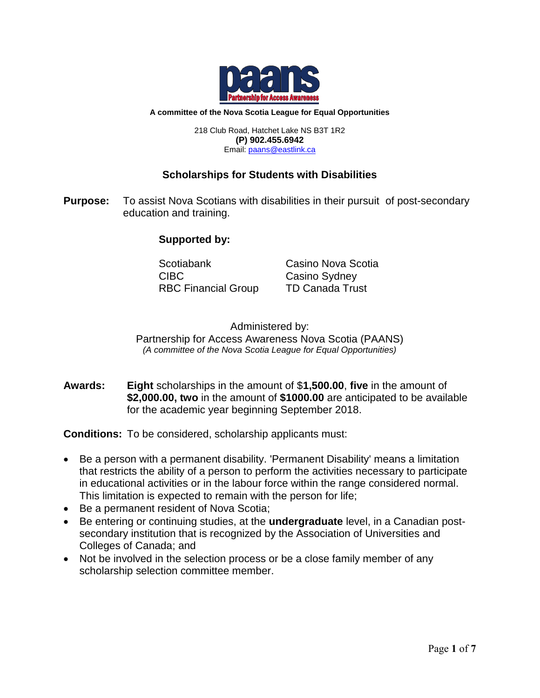

#### **A committee of the Nova Scotia League for Equal Opportunities**

218 Club Road, Hatchet Lake NS B3T 1R2 **(P) 902.455.6942** Email[: paans@eastlink.ca](mailto:paans@eastlink.ca)

## **Scholarships for Students with Disabilities**

**Purpose:** To assist Nova Scotians with disabilities in their pursuit of post-secondary education and training.

# **Supported by:**

Scotiabank Casino Nova Scotia CIBC Casino Sydney RBC Financial Group TD Canada Trust

Administered by: Partnership for Access Awareness Nova Scotia (PAANS) *(A committee of the Nova Scotia League for Equal Opportunities)*

**Awards: Eight** scholarships in the amount of \$**1,500.00**, **five** in the amount of **\$2,000.00, two** in the amount of **\$1000.00** are anticipated to be available for the academic year beginning September 2018.

**Conditions:** To be considered, scholarship applicants must:

- Be a person with a permanent disability. 'Permanent Disability' means a limitation that restricts the ability of a person to perform the activities necessary to participate in educational activities or in the labour force within the range considered normal. This limitation is expected to remain with the person for life;
- Be a permanent resident of Nova Scotia;
- Be entering or continuing studies, at the **undergraduate** level, in a Canadian postsecondary institution that is recognized by the Association of Universities and Colleges of Canada; and
- Not be involved in the selection process or be a close family member of any scholarship selection committee member.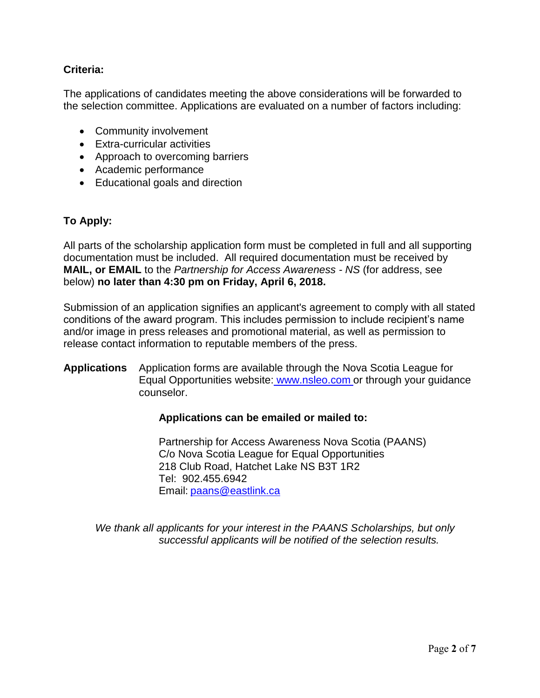# **Criteria:**

The applications of candidates meeting the above considerations will be forwarded to the selection committee. Applications are evaluated on a number of factors including:

- Community involvement
- Extra-curricular activities
- Approach to overcoming barriers
- Academic performance
- Educational goals and direction

# **To Apply:**

All parts of the scholarship application form must be completed in full and all supporting documentation must be included. All required documentation must be received by **MAIL, or EMAIL** to the *Partnership for Access Awareness - NS* (for address, see below) **no later than 4:30 pm on Friday, April 6, 2018.**

Submission of an application signifies an applicant's agreement to comply with all stated conditions of the award program. This includes permission to include recipient's name and/or image in press releases and promotional material, as well as permission to release contact information to reputable members of the press.

# **Applications** Application forms are available through the Nova Scotia League for Equal Opportunities website: [www.nsleo.com](http://www.nsleo.com/) or through your guidance counselor.

## **Applications can be emailed or mailed to:**

Partnership for Access Awareness Nova Scotia (PAANS) C/o Nova Scotia League for Equal Opportunities 218 Club Road, Hatchet Lake NS B3T 1R2 Tel: 902.455.6942 Email: [paans@eastlink.ca](mailto:paans@eastlink.ca)

*We thank all applicants for your interest in the PAANS Scholarships, but only successful applicants will be notified of the selection results.*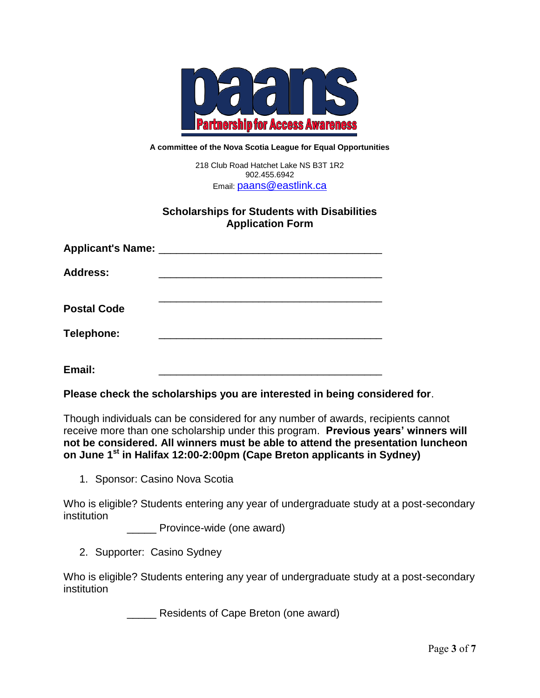

#### **A committee of the Nova Scotia League for Equal Opportunities**

218 Club Road Hatchet Lake NS B3T 1R2 902.455.6942 Email: [paans@eastlink.ca](mailto:paans@eastlink.ca)

### **Scholarships for Students with Disabilities Application Form**

| Applicant's Name: ________________ |  |
|------------------------------------|--|
| <b>Address:</b>                    |  |
| <b>Postal Code</b>                 |  |
| Telephone:                         |  |
| Email:                             |  |

**Please check the scholarships you are interested in being considered for**.

Though individuals can be considered for any number of awards, recipients cannot receive more than one scholarship under this program. **Previous years' winners will not be considered. All winners must be able to attend the presentation luncheon on June 1 st in Halifax 12:00-2:00pm (Cape Breton applicants in Sydney)**

1. Sponsor: Casino Nova Scotia

Who is eligible? Students entering any year of undergraduate study at a post-secondary institution

**Example 20** Province-wide (one award)

2. Supporter: Casino Sydney

Who is eligible? Students entering any year of undergraduate study at a post-secondary institution

**Number 2** Residents of Cape Breton (one award)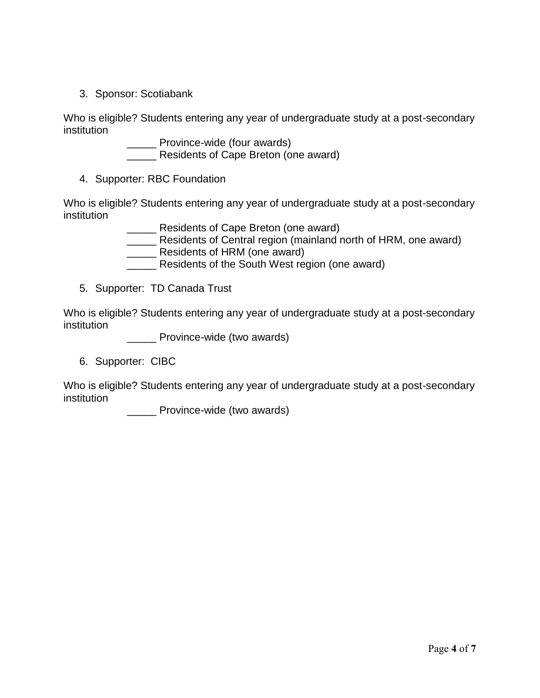3. Sponsor: Scotiabank

Who is eligible? Students entering any year of undergraduate study at a post-secondary institution

\_\_\_\_\_\_ Province-wide (four awards)

Residents of Cape Breton (one award)

4. Supporter: RBC Foundation

Who is eligible? Students entering any year of undergraduate study at a post-secondary institution

**EXECO** Residents of Cape Breton (one award)

- \_\_\_\_\_ Residents of Central region (mainland north of HRM, one award)
- **EXECUTE:** Residents of HRM (one award)
- **\_\_\_\_\_** Residents of the South West region (one award)
- 5. Supporter: TD Canada Trust

Who is eligible? Students entering any year of undergraduate study at a post-secondary institution

\_\_\_\_\_\_ Province-wide (two awards)

6. Supporter: CIBC

Who is eligible? Students entering any year of undergraduate study at a post-secondary institution

**\_\_\_\_\_** Province-wide (two awards)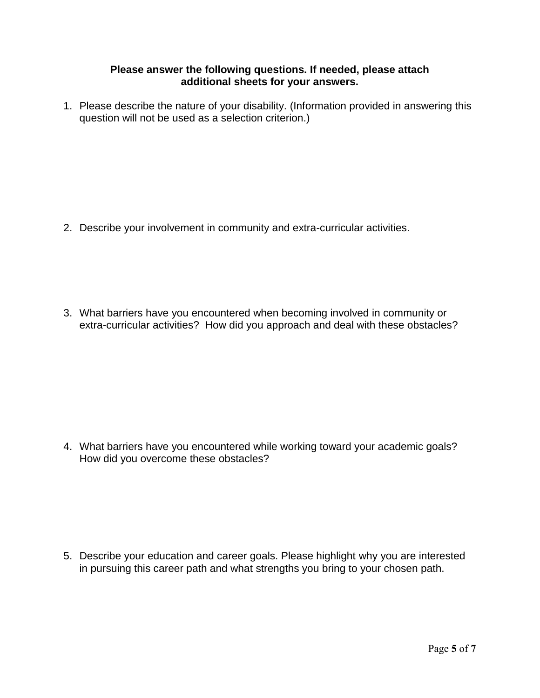#### **Please answer the following questions. If needed, please attach additional sheets for your answers.**

1. Please describe the nature of your disability. (Information provided in answering this question will not be used as a selection criterion.)

2. Describe your involvement in community and extra-curricular activities.

3. What barriers have you encountered when becoming involved in community or extra-curricular activities? How did you approach and deal with these obstacles?

4. What barriers have you encountered while working toward your academic goals? How did you overcome these obstacles?

5. Describe your education and career goals. Please highlight why you are interested in pursuing this career path and what strengths you bring to your chosen path.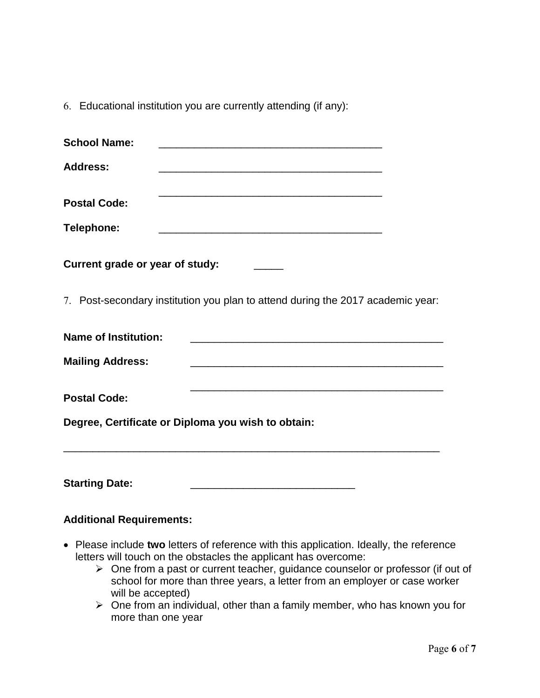6. Educational institution you are currently attending (if any):

| <b>School Name:</b>             | <u> 1980 - Johann John Stone, mars et al. (b. 1980)</u>                                                                                                                                                                                                       |
|---------------------------------|---------------------------------------------------------------------------------------------------------------------------------------------------------------------------------------------------------------------------------------------------------------|
| <b>Address:</b>                 |                                                                                                                                                                                                                                                               |
| <b>Postal Code:</b>             |                                                                                                                                                                                                                                                               |
| Telephone:                      | <u> 1989 - Johann John Stone, markin fan it ferstjer fan de ferstjer fan it ferstjer fan it ferstjer fan it fers</u>                                                                                                                                          |
| Current grade or year of study: |                                                                                                                                                                                                                                                               |
|                                 | 7. Post-secondary institution you plan to attend during the 2017 academic year:                                                                                                                                                                               |
| <b>Name of Institution:</b>     | <u> 2000 - Jan James James James James James James James James James James James James James James James James J</u>                                                                                                                                          |
| <b>Mailing Address:</b>         |                                                                                                                                                                                                                                                               |
| <b>Postal Code:</b>             | <u> 1989 - Johann Stoff, amerikansk politiker (d. 1989)</u>                                                                                                                                                                                                   |
|                                 | Degree, Certificate or Diploma you wish to obtain:                                                                                                                                                                                                            |
| <b>Starting Date:</b>           | <u> 1989 - Johann Stein, mars an deutscher Stein und der Stein und der Stein und der Stein und der Stein und der</u>                                                                                                                                          |
| <b>Additional Requirements:</b> |                                                                                                                                                                                                                                                               |
|                                 | • Please include two letters of reference with this application. Ideally, the reference<br>letters will touch on the obstacles the applicant has overcome:<br>$\triangleright$ One from a past or current teacher, guidance counselor or professor (if out of |

school for more than three years, a letter from an employer or case worker will be accepted) One from an individual, other than a family member, who has known you for more than one year